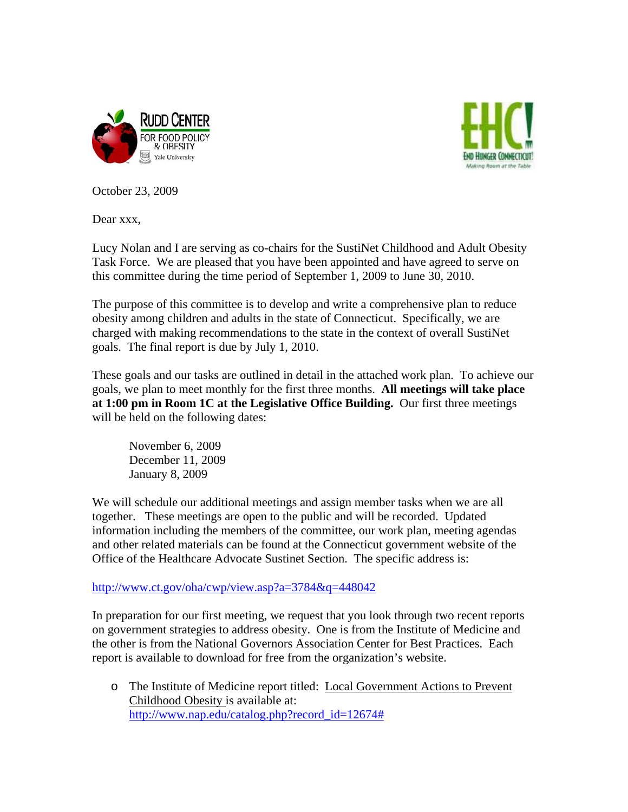



October 23, 2009

Dear xxx,

Lucy Nolan and I are serving as co-chairs for the SustiNet Childhood and Adult Obesity Task Force. We are pleased that you have been appointed and have agreed to serve on this committee during the time period of September 1, 2009 to June 30, 2010.

The purpose of this committee is to develop and write a comprehensive plan to reduce obesity among children and adults in the state of Connecticut. Specifically, we are charged with making recommendations to the state in the context of overall SustiNet goals. The final report is due by July 1, 2010.

These goals and our tasks are outlined in detail in the attached work plan. To achieve our goals, we plan to meet monthly for the first three months. **All meetings will take place at 1:00 pm in Room 1C at the Legislative Office Building.** Our first three meetings will be held on the following dates:

 November 6, 2009 December 11, 2009 January 8, 2009

We will schedule our additional meetings and assign member tasks when we are all together. These meetings are open to the public and will be recorded. Updated information including the members of the committee, our work plan, meeting agendas and other related materials can be found at the Connecticut government website of the Office of the Healthcare Advocate Sustinet Section. The specific address is:

<http://www.ct.gov/oha/cwp/view.asp?a=3784&q=448042>

In preparation for our first meeting, we request that you look through two recent reports on government strategies to address obesity. One is from the Institute of Medicine and the other is from the National Governors Association Center for Best Practices. Each report is available to download for free from the organization's website.

o The Institute of Medicine report titled: Local Government Actions to Prevent Childhood Obesity is available at: [http://www.nap.edu/catalog.php?record\\_id=12674#](http://www.nap.edu/catalog.php?record_id=12674)